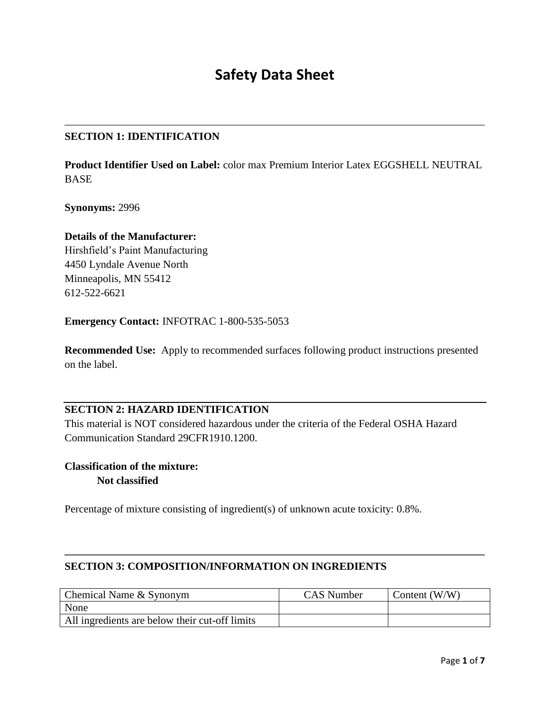# **Safety Data Sheet**

#### **SECTION 1: IDENTIFICATION**

**Product Identifier Used on Label:** color max Premium Interior Latex EGGSHELL NEUTRAL BASE

**Synonyms:** 2996

#### **Details of the Manufacturer:**

Hirshfield's Paint Manufacturing 4450 Lyndale Avenue North Minneapolis, MN 55412 612-522-6621

**Emergency Contact:** INFOTRAC 1-800-535-5053

**Recommended Use:** Apply to recommended surfaces following product instructions presented on the label.

#### **SECTION 2: HAZARD IDENTIFICATION**

This material is NOT considered hazardous under the criteria of the Federal OSHA Hazard Communication Standard 29CFR1910.1200.

## **Classification of the mixture: Not classified**

Percentage of mixture consisting of ingredient(s) of unknown acute toxicity: 0.8%.

#### **SECTION 3: COMPOSITION/INFORMATION ON INGREDIENTS**

| Chemical Name & Synonym                        | <b>CAS</b> Number | Content $(W/W)$ |
|------------------------------------------------|-------------------|-----------------|
| None                                           |                   |                 |
| All ingredients are below their cut-off limits |                   |                 |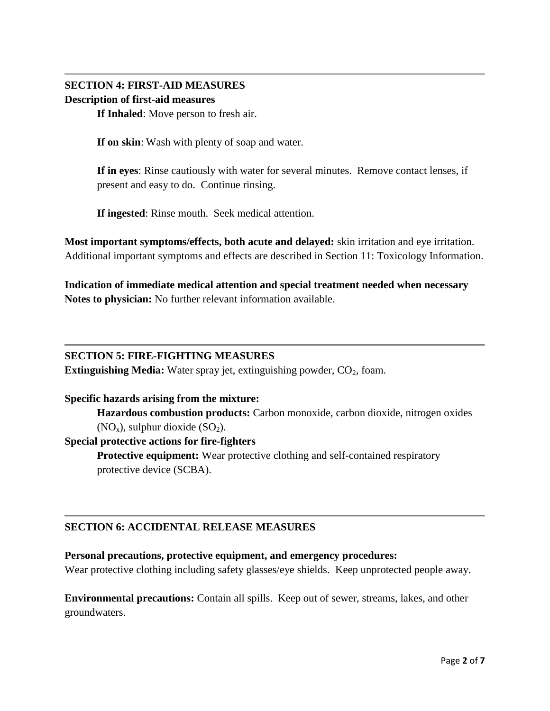## **SECTION 4: FIRST-AID MEASURES Description of first-aid measures**

**If Inhaled**: Move person to fresh air.

**If on skin**: Wash with plenty of soap and water.

**If in eyes**: Rinse cautiously with water for several minutes. Remove contact lenses, if present and easy to do. Continue rinsing.

**If ingested**: Rinse mouth. Seek medical attention.

**Most important symptoms/effects, both acute and delayed:** skin irritation and eye irritation. Additional important symptoms and effects are described in Section 11: Toxicology Information.

**Indication of immediate medical attention and special treatment needed when necessary Notes to physician:** No further relevant information available.

#### **SECTION 5: FIRE-FIGHTING MEASURES**

**Extinguishing Media:** Water spray jet, extinguishing powder, CO<sub>2</sub>, foam.

#### **Specific hazards arising from the mixture:**

**Hazardous combustion products:** Carbon monoxide, carbon dioxide, nitrogen oxides  $(NO<sub>x</sub>)$ , sulphur dioxide  $(SO<sub>2</sub>)$ .

#### **Special protective actions for fire-fighters**

**Protective equipment:** Wear protective clothing and self-contained respiratory protective device (SCBA).

## **SECTION 6: ACCIDENTAL RELEASE MEASURES**

#### **Personal precautions, protective equipment, and emergency procedures:**

Wear protective clothing including safety glasses/eye shields. Keep unprotected people away.

**Environmental precautions:** Contain all spills.Keep out of sewer, streams, lakes, and other groundwaters.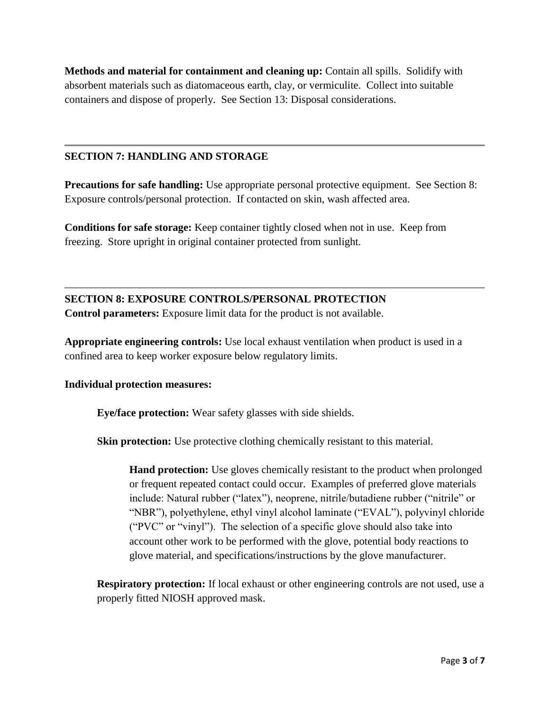**Methods and material for containment and cleaning up:** Contain all spills. Solidify with absorbent materials such as diatomaceous earth, clay, or vermiculite. Collect into suitable containers and dispose of properly. See Section 13: Disposal considerations.

#### **SECTION 7: HANDLING AND STORAGE**

**Precautions for safe handling:** Use appropriate personal protective equipment. See Section 8: Exposure controls/personal protection. If contacted on skin, wash affected area.

**Conditions for safe storage:** Keep container tightly closed when not in use. Keep from freezing. Store upright in original container protected from sunlight.

**SECTION 8: EXPOSURE CONTROLS/PERSONAL PROTECTION Control parameters:** Exposure limit data for the product is not available.

**Appropriate engineering controls:** Use local exhaust ventilation when product is used in a confined area to keep worker exposure below regulatory limits.

#### **Individual protection measures:**

**Eye/face protection:** Wear safety glasses with side shields.

**Skin protection:** Use protective clothing chemically resistant to this material.

**Hand protection:** Use gloves chemically resistant to the product when prolonged or frequent repeated contact could occur. Examples of preferred glove materials include: Natural rubber ("latex"), neoprene, nitrile/butadiene rubber ("nitrile" or "NBR"), polyethylene, ethyl vinyl alcohol laminate ("EVAL"), polyvinyl chloride ("PVC" or "vinyl"). The selection of a specific glove should also take into account other work to be performed with the glove, potential body reactions to glove material, and specifications/instructions by the glove manufacturer.

**Respiratory protection:** If local exhaust or other engineering controls are not used, use a properly fitted NIOSH approved mask.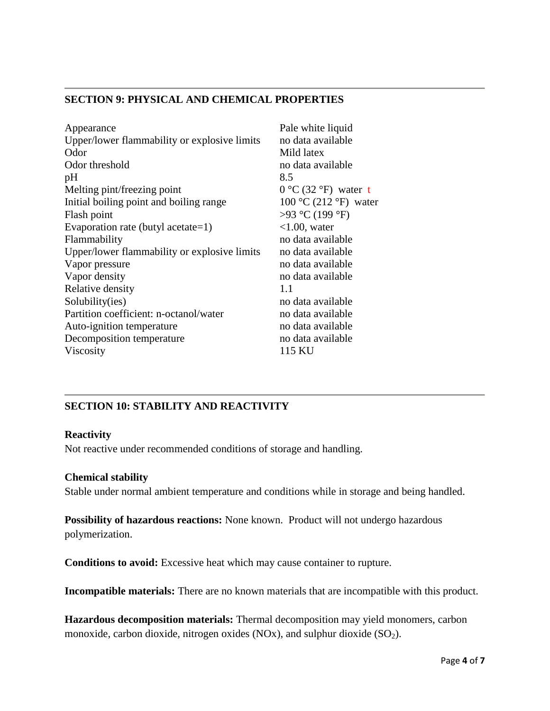## **SECTION 9: PHYSICAL AND CHEMICAL PROPERTIES**

| Appearance                                   | Pale white liquid                       |
|----------------------------------------------|-----------------------------------------|
| Upper/lower flammability or explosive limits | no data available                       |
| Odor                                         | Mild latex                              |
| Odor threshold                               | no data available                       |
| pH                                           | 8.5                                     |
| Melting pint/freezing point                  | $0^{\circ}$ C (32 $^{\circ}$ F) water t |
| Initial boiling point and boiling range      | $100^{\circ}$ C (212 °F) water          |
| Flash point                                  | >93 °C (199 °F)                         |
| Evaporation rate (butyl acetate=1)           | $<1.00$ , water                         |
| Flammability                                 | no data available                       |
| Upper/lower flammability or explosive limits | no data available                       |
| Vapor pressure                               | no data available                       |
| Vapor density                                | no data available                       |
| Relative density                             | 1.1                                     |
| Solubility(ies)                              | no data available                       |
| Partition coefficient: n-octanol/water       | no data available                       |
| Auto-ignition temperature                    | no data available                       |
| Decomposition temperature                    | no data available                       |
| Viscosity                                    | 115 KU                                  |

## **SECTION 10: STABILITY AND REACTIVITY**

#### **Reactivity**

Not reactive under recommended conditions of storage and handling.

#### **Chemical stability**

Stable under normal ambient temperature and conditions while in storage and being handled.

**Possibility of hazardous reactions:** None known. Product will not undergo hazardous polymerization.

**Conditions to avoid:** Excessive heat which may cause container to rupture.

**Incompatible materials:** There are no known materials that are incompatible with this product.

**Hazardous decomposition materials:** Thermal decomposition may yield monomers, carbon monoxide, carbon dioxide, nitrogen oxides (NOx), and sulphur dioxide  $(SO<sub>2</sub>)$ .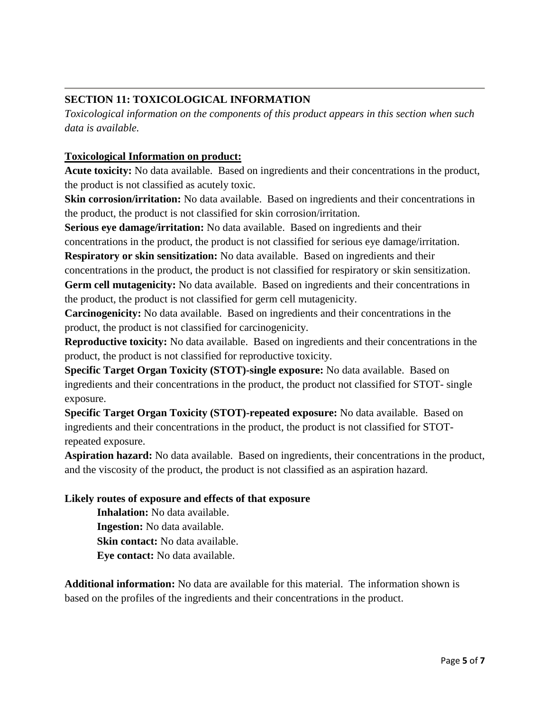## **SECTION 11: TOXICOLOGICAL INFORMATION**

*Toxicological information on the components of this product appears in this section when such data is available.*

## **Toxicological Information on product:**

**Acute toxicity:** No data available. Based on ingredients and their concentrations in the product, the product is not classified as acutely toxic.

**Skin corrosion/irritation:** No data available. Based on ingredients and their concentrations in the product, the product is not classified for skin corrosion/irritation.

**Serious eye damage/irritation:** No data available. Based on ingredients and their

concentrations in the product, the product is not classified for serious eye damage/irritation.

**Respiratory or skin sensitization:** No data available. Based on ingredients and their concentrations in the product, the product is not classified for respiratory or skin sensitization. **Germ cell mutagenicity:** No data available. Based on ingredients and their concentrations in the product, the product is not classified for germ cell mutagenicity.

**Carcinogenicity:** No data available. Based on ingredients and their concentrations in the product, the product is not classified for carcinogenicity.

**Reproductive toxicity:** No data available. Based on ingredients and their concentrations in the product, the product is not classified for reproductive toxicity.

**Specific Target Organ Toxicity (STOT)-single exposure:** No data available. Based on ingredients and their concentrations in the product, the product not classified for STOT- single exposure.

**Specific Target Organ Toxicity (STOT)-repeated exposure:** No data available. Based on ingredients and their concentrations in the product, the product is not classified for STOTrepeated exposure.

**Aspiration hazard:** No data available. Based on ingredients, their concentrations in the product, and the viscosity of the product, the product is not classified as an aspiration hazard.

## **Likely routes of exposure and effects of that exposure**

**Inhalation:** No data available. **Ingestion:** No data available. **Skin contact:** No data available. **Eye contact:** No data available.

**Additional information:** No data are available for this material. The information shown is based on the profiles of the ingredients and their concentrations in the product.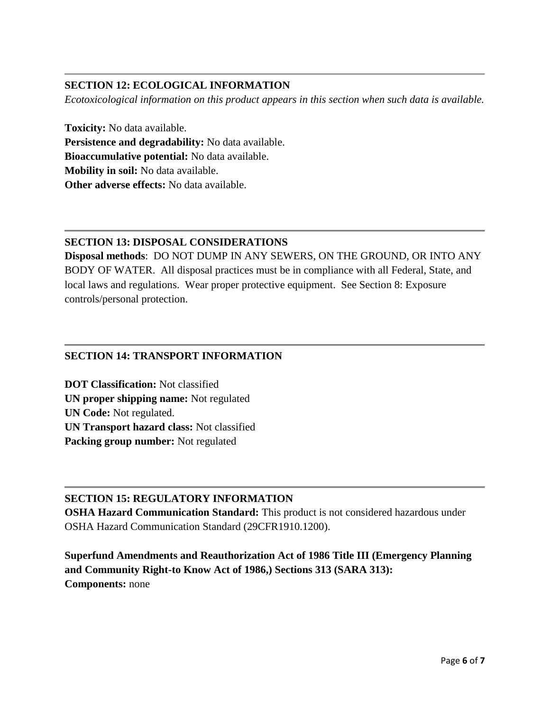## **SECTION 12: ECOLOGICAL INFORMATION**

*Ecotoxicological information on this product appears in this section when such data is available.*

**Toxicity:** No data available. **Persistence and degradability:** No data available. **Bioaccumulative potential:** No data available. **Mobility in soil:** No data available. **Other adverse effects:** No data available.

## **SECTION 13: DISPOSAL CONSIDERATIONS**

**Disposal methods**: DO NOT DUMP IN ANY SEWERS, ON THE GROUND, OR INTO ANY BODY OF WATER. All disposal practices must be in compliance with all Federal, State, and local laws and regulations. Wear proper protective equipment. See Section 8: Exposure controls/personal protection.

## **SECTION 14: TRANSPORT INFORMATION**

**DOT Classification:** Not classified **UN proper shipping name:** Not regulated **UN Code:** Not regulated. **UN Transport hazard class:** Not classified **Packing group number:** Not regulated

## **SECTION 15: REGULATORY INFORMATION**

**OSHA Hazard Communication Standard:** This product is not considered hazardous under OSHA Hazard Communication Standard (29CFR1910.1200).

**Superfund Amendments and Reauthorization Act of 1986 Title III (Emergency Planning and Community Right-to Know Act of 1986,) Sections 313 (SARA 313): Components:** none